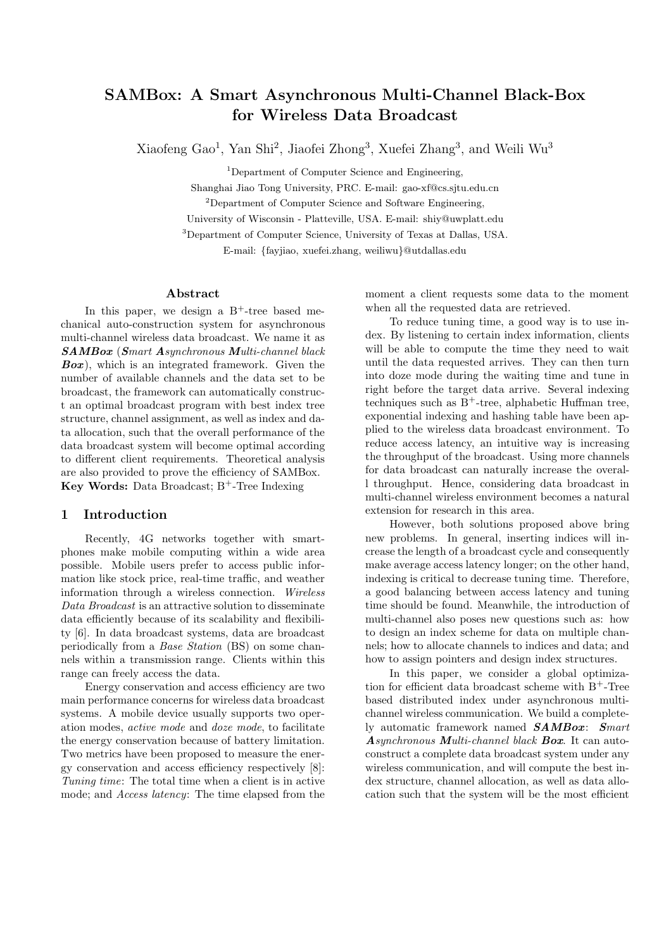# SAMBox: A Smart Asynchronous Multi-Channel Black-Box for Wireless Data Broadcast

Xiaofeng Gao<sup>1</sup>, Yan Shi<sup>2</sup>, Jiaofei Zhong<sup>3</sup>, Xuefei Zhang<sup>3</sup>, and Weili Wu<sup>3</sup>

<sup>1</sup>Department of Computer Science and Engineering,

Shanghai Jiao Tong University, PRC. E-mail: gao-xf@cs.sjtu.edu.cn

<sup>2</sup>Department of Computer Science and Software Engineering,

University of Wisconsin - Platteville, USA. E-mail: shiy@uwplatt.edu

<sup>3</sup>Department of Computer Science, University of Texas at Dallas, USA.

E-mail: {fayjiao, xuefei.zhang, weiliwu}@utdallas.edu

## Abstract

In this paper, we design a  $B^+$ -tree based mechanical auto-construction system for asynchronous multi-channel wireless data broadcast. We name it as SAMBox (S*mart* A*synchronous* M*ulti-channel black*  $Box$ ), which is an integrated framework. Given the number of available channels and the data set to be broadcast, the framework can automatically construct an optimal broadcast program with best index tree structure, channel assignment, as well as index and data allocation, such that the overall performance of the data broadcast system will become optimal according to different client requirements. Theoretical analysis are also provided to prove the efficiency of SAMBox. Key Words: Data Broadcast;  $B^+$ -Tree Indexing

# 1 Introduction

Recently, 4G networks together with smartphones make mobile computing within a wide area possible. Mobile users prefer to access public information like stock price, real-time traffic, and weather information through a wireless connection. *Wireless Data Broadcast* is an attractive solution to disseminate data efficiently because of its scalability and flexibility [6]. In data broadcast systems, data are broadcast periodically from a *Base Station* (BS) on some channels within a transmission range. Clients within this range can freely access the data.

Energy conservation and access efficiency are two main performance concerns for wireless data broadcast systems. A mobile device usually supports two operation modes, *active mode* and *doze mode*, to facilitate the energy conservation because of battery limitation. Two metrics have been proposed to measure the energy conservation and access efficiency respectively [8]: *Tuning time*: The total time when a client is in active mode; and *Access latency*: The time elapsed from the

moment a client requests some data to the moment when all the requested data are retrieved.

To reduce tuning time, a good way is to use index. By listening to certain index information, clients will be able to compute the time they need to wait until the data requested arrives. They can then turn into doze mode during the waiting time and tune in right before the target data arrive. Several indexing techniques such as  $B^+$ -tree, alphabetic Huffman tree, exponential indexing and hashing table have been applied to the wireless data broadcast environment. To reduce access latency, an intuitive way is increasing the throughput of the broadcast. Using more channels for data broadcast can naturally increase the overall throughput. Hence, considering data broadcast in multi-channel wireless environment becomes a natural extension for research in this area.

However, both solutions proposed above bring new problems. In general, inserting indices will increase the length of a broadcast cycle and consequently make average access latency longer; on the other hand, indexing is critical to decrease tuning time. Therefore, a good balancing between access latency and tuning time should be found. Meanwhile, the introduction of multi-channel also poses new questions such as: how to design an index scheme for data on multiple channels; how to allocate channels to indices and data; and how to assign pointers and design index structures.

In this paper, we consider a global optimization for efficient data broadcast scheme with  $B^+$ -Tree based distributed index under asynchronous multichannel wireless communication. We build a completely automatic framework named SAMBox: S*mart* A*synchronous* M*ulti-channel black* Box. It can autoconstruct a complete data broadcast system under any wireless communication, and will compute the best index structure, channel allocation, as well as data allocation such that the system will be the most efficient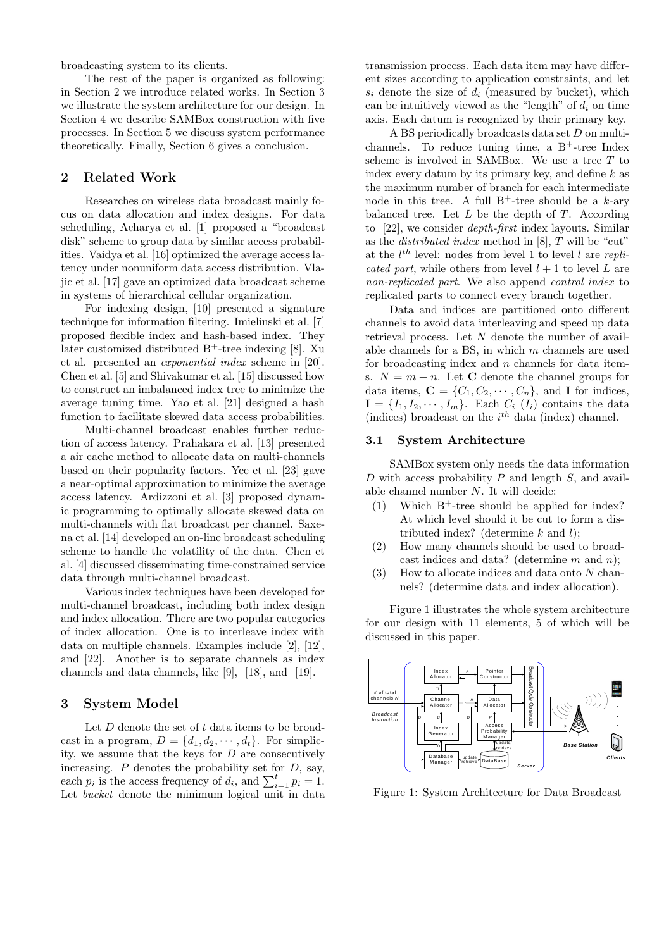broadcasting system to its clients.

The rest of the paper is organized as following: in Section 2 we introduce related works. In Section 3 we illustrate the system architecture for our design. In Section 4 we describe SAMBox construction with five processes. In Section 5 we discuss system performance theoretically. Finally, Section 6 gives a conclusion.

## 2 Related Work

Researches on wireless data broadcast mainly focus on data allocation and index designs. For data scheduling, Acharya et al. [1] proposed a "broadcast disk" scheme to group data by similar access probabilities. Vaidya et al. [16] optimized the average access latency under nonuniform data access distribution. Vlajic et al. [17] gave an optimized data broadcast scheme in systems of hierarchical cellular organization.

For indexing design, [10] presented a signature technique for information filtering. Imielinski et al. [7] proposed flexible index and hash-based index. They later customized distributed  $B^+$ -tree indexing [8]. Xu et al. presented an *exponential index* scheme in [20]. Chen et al. [5] and Shivakumar et al. [15] discussed how to construct an imbalanced index tree to minimize the average tuning time. Yao et al. [21] designed a hash function to facilitate skewed data access probabilities.

Multi-channel broadcast enables further reduction of access latency. Prahakara et al. [13] presented a air cache method to allocate data on multi-channels based on their popularity factors. Yee et al. [23] gave a near-optimal approximation to minimize the average access latency. Ardizzoni et al. [3] proposed dynamic programming to optimally allocate skewed data on multi-channels with flat broadcast per channel. Saxena et al. [14] developed an on-line broadcast scheduling scheme to handle the volatility of the data. Chen et al. [4] discussed disseminating time-constrained service data through multi-channel broadcast.

Various index techniques have been developed for multi-channel broadcast, including both index design and index allocation. There are two popular categories of index allocation. One is to interleave index with data on multiple channels. Examples include [2], [12], and [22]. Another is to separate channels as index channels and data channels, like [9], [18], and [19].

# 3 System Model

Let  $D$  denote the set of  $t$  data items to be broadcast in a program,  $D = \{d_1, d_2, \dots, d_t\}$ . For simplicity, we assume that the keys for D are consecutively increasing.  $P$  denotes the probability set for  $D$ , say, each  $p_i$  is the access frequency of  $d_i$ , and  $\sum_{i=1}^t p_i = 1$ . Let *bucket* denote the minimum logical unit in data transmission process. Each data item may have different sizes according to application constraints, and let  $s_i$  denote the size of  $d_i$  (measured by bucket), which can be intuitively viewed as the "length" of  $d_i$  on time axis. Each datum is recognized by their primary key.

A BS periodically broadcasts data set D on multichannels. To reduce tuning time, a  $B^+$ -tree Index scheme is involved in SAMBox. We use a tree  $T$  to index every datum by its primary key, and define  $k$  as the maximum number of branch for each intermediate node in this tree. A full  $B^+$ -tree should be a k-ary balanced tree. Let  $L$  be the depth of  $T$ . According to [22], we consider *depth-first* index layouts. Similar as the *distributed index* method in [8], T will be "cut" at the  $l^{th}$  level: nodes from level 1 to level  $l$  are *replicated part*, while others from level  $l + 1$  to level L are *non-replicated part*. We also append *control index* to replicated parts to connect every branch together.

Data and indices are partitioned onto different channels to avoid data interleaving and speed up data retrieval process. Let N denote the number of available channels for a BS, in which  $m$  channels are used for broadcasting index and  $n$  channels for data items.  $N = m + n$ . Let **C** denote the channel groups for data items,  $\mathbf{C} = \{C_1, C_2, \cdots, C_n\}$ , and **I** for indices,  $I = \{I_1, I_2, \cdots, I_m\}$ . Each  $C_i$  ( $I_i$ ) contains the data (indices) broadcast on the  $i^{th}$  data (index) channel.

## 3.1 System Architecture

SAMBox system only needs the data information D with access probability  $P$  and length  $S$ , and available channel number N. It will decide:

- (1) Which  $B^+$ -tree should be applied for index? At which level should it be cut to form a distributed index? (determine  $k$  and  $l$ );
- (2) How many channels should be used to broadcast indices and data? (determine  $m$  and  $n$ );
- $(3)$  How to allocate indices and data onto N channels? (determine data and index allocation).

Figure 1 illustrates the whole system architecture for our design with 11 elements, 5 of which will be discussed in this paper.



Figure 1: System Architecture for Data Broadcast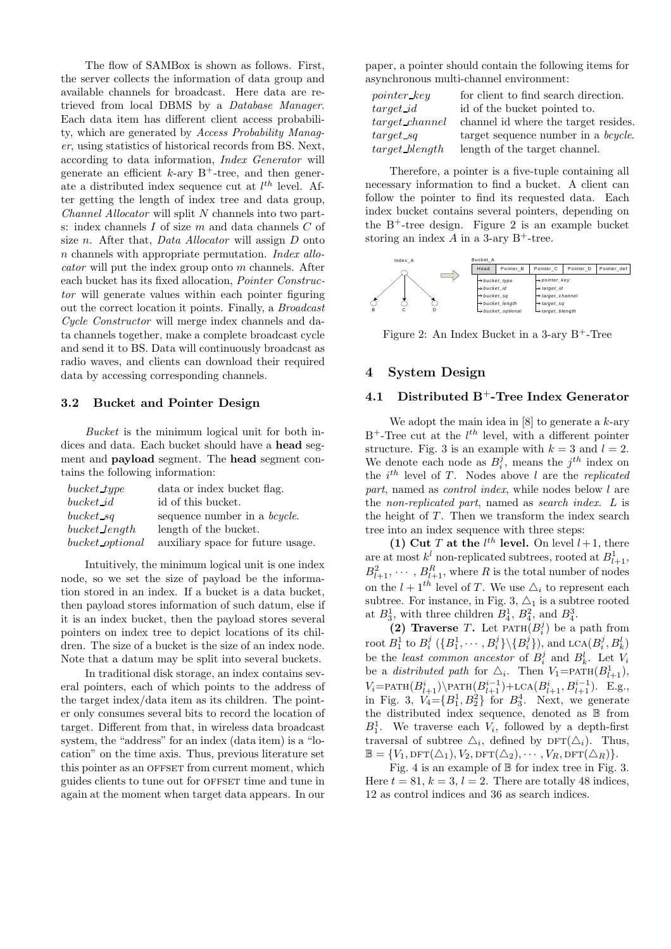The flow of SAMBox is shown as follows. First, the server collects the information of data group and available channels for broadcast. Here data are retrieved from local DBMS by a *Database Manager*. Each data item has different client access probability, which are generated by *Access Probability Manager*, using statistics of historical records from BS. Next, according to data information, *Index Generator* will generate an efficient  $k$ -ary  $B$ <sup>+</sup>-tree, and then generate a distributed index sequence cut at  $l^{th}$  level. After getting the length of index tree and data group, *Channel Allocator* will split N channels into two parts: index channels I of size m and data channels C of size n. After that, *Data Allocator* will assign D onto n channels with appropriate permutation. *Index allocator* will put the index group onto m channels. After each bucket has its fixed allocation, *Pointer Constructor* will generate values within each pointer figuring out the correct location it points. Finally, a *Broadcast Cycle Constructor* will merge index channels and data channels together, make a complete broadcast cycle and send it to BS. Data will continuously broadcast as radio waves, and clients can download their required data by accessing corresponding channels.

## 3.2 Bucket and Pointer Design

*Bucket* is the minimum logical unit for both indices and data. Each bucket should have a head segment and payload segment. The head segment contains the following information:

| $bucket\_type$  | data or index bucket flag.           |
|-----------------|--------------------------------------|
| bucket id       | id of this bucket.                   |
| $bucket\_sq$    | sequence number in a <i>bcycle</i> . |
| bucket length   | length of the bucket.                |
| bucket optional | auxiliary space for future usage.    |

Intuitively, the minimum logical unit is one index node, so we set the size of payload be the information stored in an index. If a bucket is a data bucket, then payload stores information of such datum, else if it is an index bucket, then the payload stores several pointers on index tree to depict locations of its children. The size of a bucket is the size of an index node. Note that a datum may be split into several buckets.

In traditional disk storage, an index contains several pointers, each of which points to the address of the target index/data item as its children. The pointer only consumes several bits to record the location of target. Different from that, in wireless data broadcast system, the "address" for an index (data item) is a "location" on the time axis. Thus, previous literature set this pointer as an OFFSET from current moment, which guides clients to tune out for offset time and tune in again at the moment when target data appears. In our

paper, a pointer should contain the following items for asynchronous multi-channel environment:

| $pointer\_key$    | for client to find search direction.        |
|-------------------|---------------------------------------------|
| $target\_id$      | id of the bucket pointed to.                |
| target channel    | channel id where the target resides.        |
| $target\_sq$      | target sequence number in a <i>bcycle</i> . |
| $target\_blength$ | length of the target channel.               |

Therefore, a pointer is a five-tuple containing all necessary information to find a bucket. A client can follow the pointer to find its requested data. Each index bucket contains several pointers, depending on the  $B^+$ -tree design. Figure 2 is an example bucket storing an index  $A$  in a 3-ary B<sup>+</sup>-tree.



Figure 2: An Index Bucket in a 3-ary  $B^+$ -Tree

# 4 System Design

# 4.1 Distributed  $B^+$ -Tree Index Generator

We adopt the main idea in  $[8]$  to generate a k-ary  $B^+$ -Tree cut at the  $l^{th}$  level, with a different pointer structure. Fig. 3 is an example with  $k = 3$  and  $l = 2$ . We denote each node as  $B_i^j$ , means the  $j^{th}$  index on the *i*<sup>th</sup> level of T. Nodes above *l* are the *replicated part*, named as *control index*, while nodes below l are the *non-replicated part*, named as *search index*. L is the height of  $T$ . Then we transform the index search tree into an index sequence with three steps:

(1) Cut T at the  $l^{th}$  level. On level  $l+1$ , there are at most  $k^{l}$  non-replicated subtrees, rooted at  $B_{l+1}^{1}$ ,  $B_{l+1}^2, \cdots, B_{l+1}^R$ , where R is the total number of nodes on the  $l + 1<sup>th</sup>$  level of T. We use  $\Delta_i$  to represent each subtree. For instance, in Fig. 3,  $\Delta_1$  is a subtree rooted at  $B_3^1$ , with three children  $B_4^1$ ,  $B_4^2$ , and  $B_4^3$ .

(2) Traverse T. Let  $\text{PATH}(B_i^j)$  be a path from root  $B_1^1$  to  $B_i^j$   $(\{B_1^1, \cdots, B_i^j\} \setminus \{B_i^j\})$ , and  $\text{LCA}(B_i^j, B_k^l)$ be the *least common ancestor* of  $B_i^j$  and  $B_k^l$ . Let  $V_i$ be a *distributed path* for  $\triangle_i$ . Then  $V_1 = \text{PATH}(B^1_{l+1}),$  $V_i = \text{PATH}(B_{l+1}^i) \text{PATH}(B_{l+1}^{i-1}) + \text{LCA}(B_{l+1}^i, B_{l+1}^{i-1}).$  E.g., in Fig. 3,  $V_4 = \{B_1^1, B_2^2\}$  for  $B_3^4$ . Next, we generate the distributed index sequence, denoted as B from  $B_1^1$ . We traverse each  $V_i$ , followed by a depth-first traversal of subtree  $\Delta_i$ , defined by DFT( $\Delta_i$ ). Thus,  $\mathbb{B} = \{V_1, \text{DFT}(\triangle_1), V_2, \text{DFT}(\triangle_2), \cdots, V_R, \text{DFT}(\triangle_R)\}.$ 

Fig. 4 is an example of B for index tree in Fig. 3. Here  $t = 81$ ,  $k = 3$ ,  $l = 2$ . There are totally 48 indices, 12 as control indices and 36 as search indices.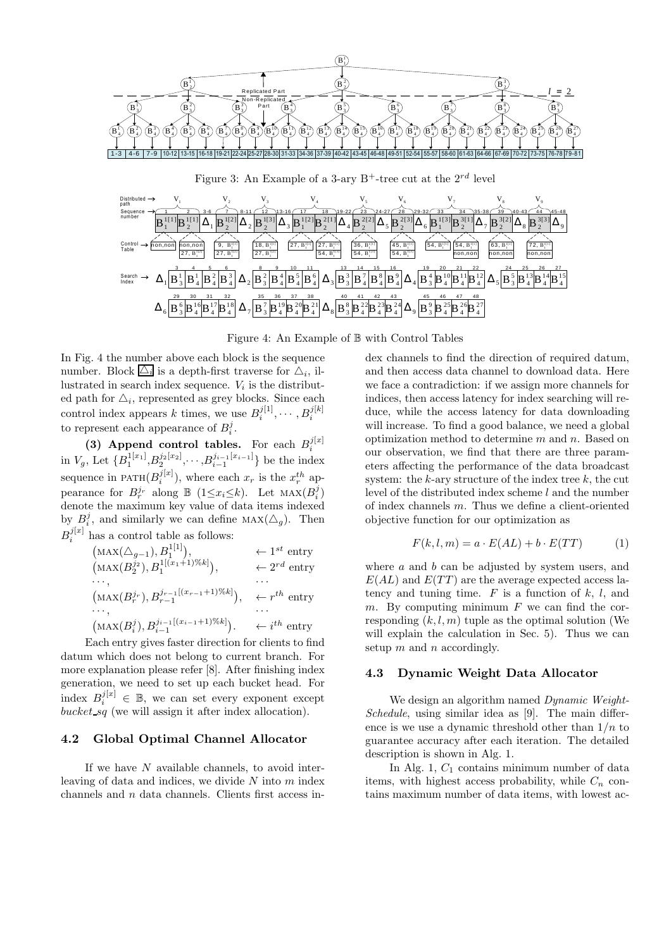

Figure 4: An Example of B with Control Tables

In Fig. 4 the number above each block is the sequence number. Block  $\Delta_i$  is a depth-first traverse for  $\Delta_i$ , illustrated in search index sequence.  $V_i$  is the distributed path for  $\triangle_i$ , represented as grey blocks. Since each control index appears k times, we use  $B_i^{j[1]}, \cdots, B_i^{j[k]}$ to represent each appearance of  $B_i^j$ .

(3) Append control tables. For each  $B_i^{j[x]}$ in  $V_g$ , Let  $\{B_1^{1[x_1]}, B_2^{j_2[x_2]}, \cdots, B_{i-1}^{j_{i-1}[x_{i-1}]}\}$  be the index sequence in PATH $(B_i^{j[x]})$ , where each  $x_r$  is the  $x_r^{th}$  appearance for  $B_r^{j_r}$  along  $\mathbb{B}$  (1 $\leq x_i \leq k$ ). Let  $\text{MAX}(B_i^j)$ denote the maximum key value of data items indexed by  $B_i^j$ , and similarly we can define  $\text{MAX}(\triangle_g)$ . Then  $B_i^{j[x]}$  has a control table as follows:

| ← $1^{st}$ entry          |
|---------------------------|
| $\leftarrow 2^{rd}$ entry |
|                           |
| $\leftarrow r^{th}$ entry |
|                           |
| $\leftarrow i^{th}$ entry |
|                           |

Each entry gives faster direction for clients to find datum which does not belong to current branch. For more explanation please refer [8]. After finishing index generation, we need to set up each bucket head. For index  $B_i^{j[x]} \in \mathbb{B}$ , we can set every exponent except bucket  $sq$  (we will assign it after index allocation).

## 4.2 Global Optimal Channel Allocator

If we have  $N$  available channels, to avoid interleaving of data and indices, we divide  $N$  into  $m$  index channels and n data channels. Clients first access index channels to find the direction of required datum, and then access data channel to download data. Here we face a contradiction: if we assign more channels for indices, then access latency for index searching will reduce, while the access latency for data downloading will increase. To find a good balance, we need a global optimization method to determine  $m$  and  $n$ . Based on our observation, we find that there are three parameters affecting the performance of the data broadcast system: the  $k$ -ary structure of the index tree  $k$ , the cut level of the distributed index scheme  $l$  and the number of index channels m. Thus we define a client-oriented objective function for our optimization as

$$
F(k, l, m) = a \cdot E(AL) + b \cdot E(TT)
$$
 (1)

where  $a$  and  $b$  can be adjusted by system users, and  $E(AL)$  and  $E(TT)$  are the average expected access latency and tuning time.  $F$  is a function of  $k, l$ , and  $m$ . By computing minimum  $F$  we can find the corresponding  $(k, l, m)$  tuple as the optimal solution (We will explain the calculation in Sec. 5). Thus we can setup  $m$  and  $n$  accordingly.

## 4.3 Dynamic Weight Data Allocator

We design an algorithm named *Dynamic Weight-Schedule*, using similar idea as [9]. The main difference is we use a dynamic threshold other than  $1/n$  to guarantee accuracy after each iteration. The detailed description is shown in Alg. 1.

In Alg. 1,  $C_1$  contains minimum number of data items, with highest access probability, while  $C_n$  contains maximum number of data items, with lowest ac-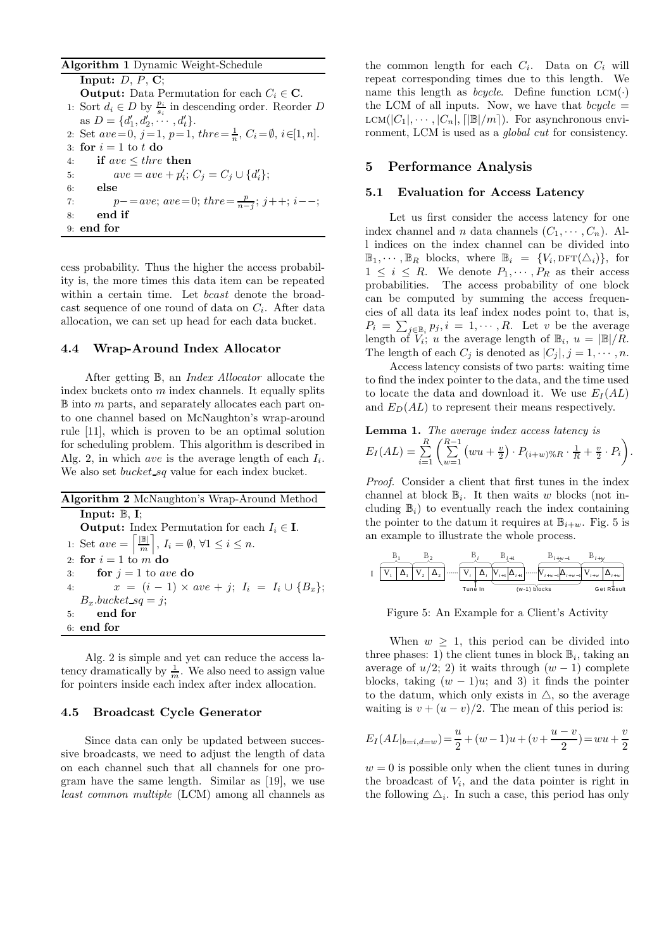#### Algorithm 1 Dynamic Weight-Schedule

Input:  $D, P, C$ ; **Output:** Data Permutation for each  $C_i \in \mathbb{C}$ . 1: Sort  $d_i$  ∈ *D* by  $\frac{p_i}{s_i}$  in descending order. Reorder *D* as  $D = \{d'_1, d'_2, \cdots, d'_t\}.$ 2: Set  $ave=0, j=1, p=1, three=\frac{1}{n}, C_i=\emptyset, i\in [1, n].$ 3: for  $i = 1$  to t do 4: if  $ave \leq three$  then<br>5:  $ave = ave + n'$ : 5:  $\qquad \qquad ave=ave+p'_i;\, C_j=C_j\cup\{d'_i\};$ 6: else 7:  $p-=ave; \, ave=0; \, three=\frac{p}{n-j}; \, j++, \, i--;$ 8: end if 9: end for

cess probability. Thus the higher the access probability is, the more times this data item can be repeated within a certain time. Let *bcast* denote the broadcast sequence of one round of data on  $C_i$ . After data allocation, we can set up head for each data bucket.

## 4.4 Wrap-Around Index Allocator

After getting B, an *Index Allocator* allocate the index buckets onto  $m$  index channels. It equally splits  $\mathbb B$  into m parts, and separately allocates each part onto one channel based on McNaughton's wrap-around rule [11], which is proven to be an optimal solution for scheduling problem. This algorithm is described in Alg. 2, in which ave is the average length of each  $I_i$ . We also set *bucket sq* value for each index bucket.

| <b>Algorithm 2</b> McNaughton's Wrap-Around Method                                          |
|---------------------------------------------------------------------------------------------|
| Input: $\mathbb{B}$ , I;                                                                    |
| <b>Output:</b> Index Permutation for each $I_i \in I$ .                                     |
| 1: Set $ave = \left[\frac{\mathbb{B}}{m}\right], I_i = \emptyset, \forall 1 \leq i \leq n.$ |
| 2. for $i=1$ to m do                                                                        |
| for $i = 1$ to ave do<br>3:                                                                 |
| $x = (i - 1) \times ave + j; I_i = I_i \cup \{B_x\};$<br>4:                                 |
| $B_r.buckets_sq = i;$                                                                       |
| end for<br>5:                                                                               |
| $6:$ end for                                                                                |
|                                                                                             |

Alg. 2 is simple and yet can reduce the access latency dramatically by  $\frac{1}{m}$ . We also need to assign value for pointers inside each index after index allocation.

# 4.5 Broadcast Cycle Generator

Since data can only be updated between successive broadcasts, we need to adjust the length of data on each channel such that all channels for one program have the same length. Similar as [19], we use *least common multiple* (LCM) among all channels as

the common length for each  $C_i$ . Data on  $C_i$  will repeat corresponding times due to this length. We name this length as *bcycle*. Define function  $LCM(\cdot)$ the LCM of all inputs. Now, we have that  $bcycle =$  $LCM(|C_1|, \dots, |C_n|, \lceil |B|/m \rceil)$ . For asynchronous environment, LCM is used as a *global cut* for consistency.

## 5 Performance Analysis

#### 5.1 Evaluation for Access Latency

Let us first consider the access latency for one index channel and n data channels  $(C_1, \dots, C_n)$ . All indices on the index channel can be divided into  $\mathbb{B}_1, \cdots, \mathbb{B}_R$  blocks, where  $\mathbb{B}_i = \{V_i, \text{DFT}(\triangle_i)\},\$  for  $1 \leq i \leq R$ . We denote  $P_1, \cdots, P_R$  as their access probabilities. The access probability of one block can be computed by summing the access frequencies of all data its leaf index nodes point to, that is,  $P_i = \sum_{j \in \mathbb{B}_i} p_j, i = 1, \cdots, R$ . Let v be the average length of  $V_i$ ; u the average length of  $\mathbb{B}_i$ ,  $u = |\mathbb{B}|/R$ . The length of each  $C_i$  is denoted as  $|C_i|, j = 1, \cdots, n$ .

Access latency consists of two parts: waiting time to find the index pointer to the data, and the time used to locate the data and download it. We use  $E_I(AL)$ and  $E_D(AL)$  to represent their means respectively.

**Lemma 1.** The average index access latency is  

$$
E_I(AL) = \sum_{i=1}^{R} \left( \sum_{w=1}^{R-1} \left( wu + \frac{v}{2} \right) \cdot P_{(i+w)\%R} \cdot \frac{1}{R} + \frac{v}{2} \cdot P_i \right).
$$

*Proof.* Consider a client that first tunes in the index channel at block  $\mathbb{B}_i$ . It then waits w blocks (not including  $\mathbb{B}_i$ ) to eventually reach the index containing the pointer to the datum it requires at  $\mathbb{B}_{i+w}$ . Fig. 5 is an example to illustrate the whole process.

$$
\hspace{-0.5cm} \textbf{I} \underbrace{\begin{array}{c} \textbf{B}_{1} \\ \hline \textbf{V}_{1} \end{array} \begin{array}{c} \textbf{B}_{2} \\ \hline \textbf{V}_{2} \end{array}}_{\textbf{I} \text{ under } \mathbf{B}_{2}} \dots \dots \underbrace{\begin{array}{c} \textbf{B}_{i} \\ \hline \textbf{V}_{i} \end{array} \begin{array}{c} \textbf{B}_{i+1} \\ \hline \textbf{V}_{i+1} \end{array} \begin{array}{c} \textbf{B}_{i+1} \\ \hline \textbf{V}_{i+1} \end{array} \begin{array}{c} \textbf{B}_{i+\textbf{w}-1} \\ \hline \textbf{V}_{i+w-1} \end{array} \begin{array}{c} \textbf{B}_{i+\textbf{w}} \\ \hline \textbf{V}_{i+w} \end{array} \begin{array}{c} \textbf{B}_{i+\textbf{w}} \\ \hline \textbf{V}_{i+w} \end{array}}
$$

Figure 5: An Example for a Client's Activity

When  $w \geq 1$ , this period can be divided into three phases: 1) the client tunes in block  $\mathbb{B}_i$ , taking an average of  $u/2$ ; 2) it waits through  $(w - 1)$  complete blocks, taking  $(w - 1)u$ ; and 3) it finds the pointer to the datum, which only exists in  $\triangle$ , so the average waiting is  $v + (u - v)/2$ . The mean of this period is:

$$
E_I(AL|_{b=i,d=w}) = \frac{u}{2} + (w-1)u + (v + \frac{u-v}{2}) = wu + \frac{v}{2}
$$

 $w = 0$  is possible only when the client tunes in during the broadcast of  $V_i$ , and the data pointer is right in the following  $\Delta_i$ . In such a case, this period has only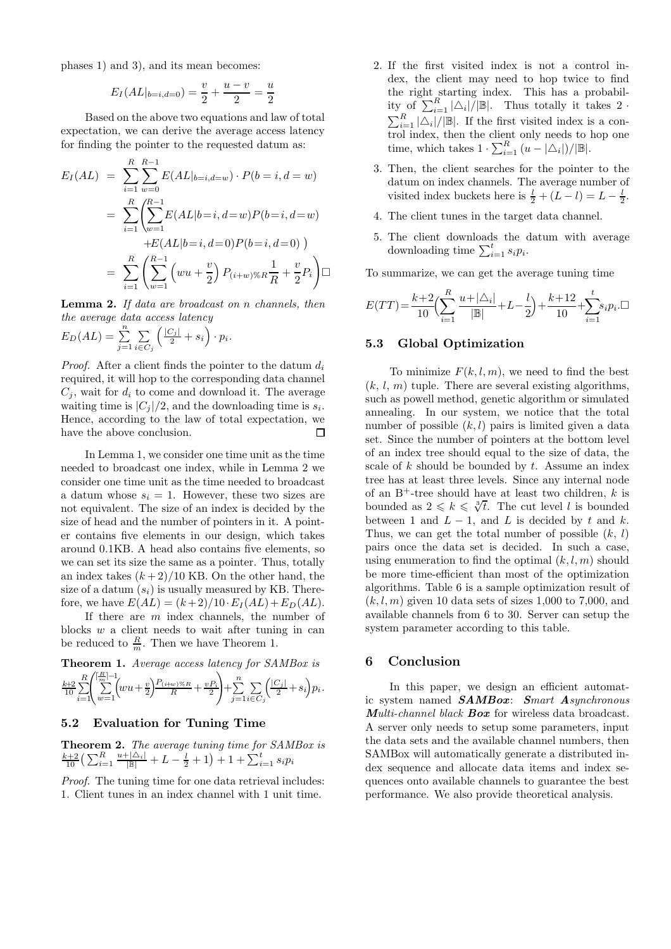phases 1) and 3), and its mean becomes:

$$
E_I(AL|_{b=i,d=0}) = \frac{v}{2} + \frac{u-v}{2} = \frac{u}{2}
$$

Based on the above two equations and law of total expectation, we can derive the average access latency for finding the pointer to the requested datum as:

$$
E_I(AL) = \sum_{i=1}^{R} \sum_{w=0}^{R-1} E(AL|_{b=i,d=w}) \cdot P(b=i, d=w)
$$
  
= 
$$
\sum_{i=1}^{R} \left( \sum_{w=1}^{R-1} E(AL|b=i, d=w) P(b=i, d=w)
$$
  
+
$$
E(AL|b=i, d=0) P(b=i, d=0)
$$
  
= 
$$
\sum_{i=1}^{R} \left( \sum_{w=1}^{R-1} \left( wu + \frac{v}{2} \right) P_{(i+w)\%R} \frac{1}{R} + \frac{v}{2} P_i \right) \square
$$

Lemma 2. *If data are broadcast on* n *channels, then the average data access latency*

$$
E_D(AL) = \sum_{j=1}^n \sum_{i \in C_j} \left( \frac{|C_j|}{2} + s_i \right) \cdot p_i.
$$

*Proof.* After a client finds the pointer to the datum  $d_i$ required, it will hop to the corresponding data channel  $C_i$ , wait for  $d_i$  to come and download it. The average waiting time is  $|C_j|/2$ , and the downloading time is  $s_i$ . Hence, according to the law of total expectation, we have the above conclusion.  $\Box$ 

In Lemma 1, we consider one time unit as the time needed to broadcast one index, while in Lemma 2 we consider one time unit as the time needed to broadcast a datum whose  $s_i = 1$ . However, these two sizes are not equivalent. The size of an index is decided by the size of head and the number of pointers in it. A pointer contains five elements in our design, which takes around 0.1KB. A head also contains five elements, so we can set its size the same as a pointer. Thus, totally an index takes  $(k+2)/10$  KB. On the other hand, the size of a datum  $(s_i)$  is usually measured by KB. Therefore, we have  $E(AL) = (k+2)/10 \cdot E_I(AL) + E_D(AL)$ .

If there are m index channels, the number of blocks  $w$  a client needs to wait after tuning in can be reduced to  $\frac{R}{m}$ . Then we have Theorem 1.

**Theorem 1.** Average access latency for SAMBox is\n
$$
\sum_{i=1}^{R} \left( \sum_{w=1}^{\lceil \frac{R}{m} \rceil - 1} \left( wu + \frac{v}{2} \right)^{\frac{P(i+w)\%R}{R}} + \frac{vP_i}{2} \right) + \sum_{j=1}^{R} \sum_{i \in C_j} \left( \frac{|C_j|}{2} + s_i \right) p_i.
$$

# 5.2 Evaluation for Tuning Time

Theorem 2. *The average tuning time for SAMBox is*  $\frac{k+2}{10} \big( \sum_{i=1}^R \frac{u+|\triangle_i|}{|\mathbb{B}|} + L - \frac{l}{2} + 1 \big) + 1 + \sum_{i=1}^t s_i p_i$ 

*Proof.* The tuning time for one data retrieval includes: 1. Client tunes in an index channel with 1 unit time.

- 2. If the first visited index is not a control index, the client may need to hop twice to find the right starting index. This has a probability of  $\sum_{i=1}^R |\triangle_i|/|\mathbb{B}|$ . Thus totally it takes 2.  $\sum_{i=1}^{R} |\triangle_i|/|\mathbb{B}|$ . If the first visited index is a control index, then the client only needs to hop one time, which takes  $1 \cdot \sum_{i=1}^{R} (u - |\Delta_i|)/|\mathbb{B}|$ .
- 3. Then, the client searches for the pointer to the datum on index channels. The average number of visited index buckets here is  $\frac{l}{2} + (L - l) = L - \frac{l}{2}$ .
- 4. The client tunes in the target data channel.
- 5. The client downloads the datum with average downloading time  $\sum_{i=1}^{t} s_i p_i$ .

To summarize, we can get the average tuning time

$$
E(TT) = \frac{k+2}{10} \left( \sum_{i=1}^{R} \frac{u + |\Delta_i|}{|\mathbb{B}|} + L - \frac{l}{2} \right) + \frac{k+12}{10} + \sum_{i=1}^{t} s_i p_i \cdot \square
$$

# 5.3 Global Optimization

To minimize  $F(k, l, m)$ , we need to find the best  $(k, l, m)$  tuple. There are several existing algorithms, such as powell method, genetic algorithm or simulated annealing. In our system, we notice that the total number of possible  $(k, l)$  pairs is limited given a data set. Since the number of pointers at the bottom level of an index tree should equal to the size of data, the scale of  $k$  should be bounded by  $t$ . Assume an index tree has at least three levels. Since any internal node of an  $B^+$ -tree should have at least two children, k is bounded as  $2 \leq k \leq \sqrt[3]{t}$ . The cut level l is bounded between 1 and  $L - 1$ , and L is decided by t and k. Thus, we can get the total number of possible  $(k, l)$ pairs once the data set is decided. In such a case, using enumeration to find the optimal  $(k, l, m)$  should be more time-efficient than most of the optimization algorithms. Table 6 is a sample optimization result of  $(k, l, m)$  given 10 data sets of sizes 1,000 to 7,000, and available channels from 6 to 30. Server can setup the system parameter according to this table.

# 6 Conclusion

In this paper, we design an efficient automatic system named SAMBox: S*mart* A*synchronous* M*ulti-channel black* Box for wireless data broadcast. A server only needs to setup some parameters, input the data sets and the available channel numbers, then SAMBox will automatically generate a distributed index sequence and allocate data items and index sequences onto available channels to guarantee the best performance. We also provide theoretical analysis.